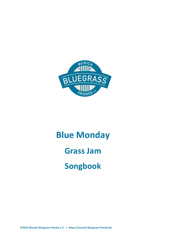

# **Blue Monday Grass Jam Songbook**

**©2022 Munich Bluegrass Friends e.V. • [https://munich-bluegrass-friends.de](http://www.munich-bluegrass-friends.de/)**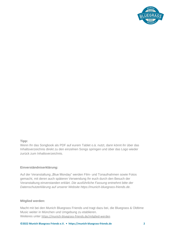

#### **Tipp:**

Wenn Ihr das Songbook als PDF auf eurem Tablet o.ä. nutzt, dann könnt ihr über das Inhaltsverzeichnis direkt zu den einzelnen Songs springen und über das Logo wieder zurück zum Inhaltsverzeichnis.

#### **Einverständniserklärung:**

Auf der Veranstaltung "Blue Monday" werden Film- und Tonaufnahmen sowie Fotos gemacht, mit deren auch späteren Verwendung Ihr euch durch den Besuch der Veranstaltung einverstanden erklärt. *Die ausführliche Fassung entnehmt bitte der Datenschutzerklärung auf unserer Website https://munich-bluegrass-friends.de*.

#### **Mitglied werden:**

Macht mit bei den Munich Bluegrass Friends und tragt dazu bei, die Bluegrass & Oldtime Music weiter in München und Umgebung zu etablieren. Weiteres unter [https://munich-bluegrass-friends.de/mitglied-werden](https://munich-bluegrass-friends.de/mitglied-werden%0c)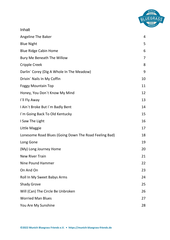

<span id="page-2-0"></span>

| Inhalt                                                |                |
|-------------------------------------------------------|----------------|
| <b>Angeline The Baker</b>                             | 4              |
| <b>Blue Night</b>                                     | 5              |
| <b>Blue Ridge Cabin Home</b>                          | 6              |
| Bury Me Beneath The Willow                            | $\overline{7}$ |
| <b>Cripple Creek</b>                                  | 8              |
| Darlin' Corey (Dig A Whole In The Meadow)             | 9              |
| Drivin' Nails In My Coffin                            | 10             |
| <b>Foggy Mountain Top</b>                             | 11             |
| Honey, You Don't Know My Mind                         | 12             |
| I'll Fly Away                                         | 13             |
| I Ain't Broke But I'm Badly Bent                      | 14             |
| I'm Going Back To Old Kentucky                        | 15             |
| I Saw The Light                                       | 16             |
| Little Maggie                                         | 17             |
| Lonesome Road Blues (Going Down The Road Feeling Bad) | 18             |
| Long Gone                                             | 19             |
| (My) Long Journey Home                                | 20             |
| <b>New River Train</b>                                | 21             |
| Nine Pound Hammer                                     | 22             |
| On And On                                             | 23             |
| Roll In My Sweet Babys Arms                           | 24             |
| <b>Shady Grove</b>                                    | 25             |
| Will (Can) The Circle Be Unbroken                     | 26             |
| <b>Worried Man Blues</b>                              | 27             |
| You Are My Sunshine                                   | 28             |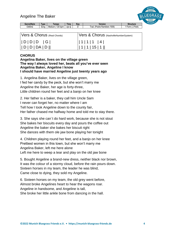|     | MUNICH            |
|-----|-------------------|
|     | <b>UEGRASS</b>    |
|     | <b>FRIENDS EN</b> |
| ٠÷۰ |                   |

<span id="page-3-0"></span>

| relStvle | 'vpe        | , empr                         | ime           | Ke۱ | Versior                             | .<br>ucture                      |
|----------|-------------|--------------------------------|---------------|-----|-------------------------------------|----------------------------------|
| Oldtime  | Sona<br>. . | $\sim$<br>bpm<br>Medium<br>IZU | ∩<br>414<br>u |     | 1936<br>Ramblers<br>rad<br>.Prairie | <sup>∪</sup> arts<br>- orr<br>UН |

| Vers & Chorus (Real Chords) | Vers & Chorus (NashvilleNumberSystem) |
|-----------------------------|---------------------------------------|
| D D D G                     | $\vert$   1   1   1   4               |
| D D DA D                    | 111113 1                              |

## **CHORUS**

**Angelina Baker, lives on the village green The way I always loved her, beats all you've ever seen Angelina Baker, Angeline I know I should have married Angeline just twenty years ago**

1. Angelina Baker, lives on the village green, I fed her candy by the peck, but she won't marry me Angeline the Baker, her age is forty-three, Little children round her feet and a banjo on her knee

2. Her father is a baker, they call him Uncle Sam I never can forget her, no matter where I am Tell how I took Angeline down to the county fair, Her father chased me halfway home and told me to stay there.

3. She says she can´t do hard work, because she is not stout She bakes her biscuits every day and pours the coffee out Angeline the baker she bakes her biscuit right She dances with them ole jaw bone playing her tonight

4. Children playing round her feet, and a banjo on her knee Prettiest women in this town, but she won't marry me Angelina Baker, left me here alone Left me here to weep a tear and play on the old jaw bone

5. Bought Angeline a brand-new dress, neither black nor brown, It was the colour of a stormy cloud, before the rain pours down. Sixteen horses in my team, the leader he was blind, Came close to dying, they sold my Angeline.

<span id="page-3-1"></span>6. Sixteen horses on my team, the old grey went before, Almost broke Angelines heart to hear the wagons roar. Angeline in handsome, and Angeline is tall, She broke her little ankle bone from dancing in the hall.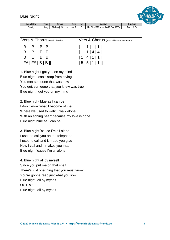# Blue Night

|      | MUNICH<br><b>UEGRASS</b><br><b>FRIENDS</b> |
|------|--------------------------------------------|
| Έ    |                                            |
| Dort |                                            |

| <b>GenrelStvle</b> | ype  | Tempo                  | <b>Time</b>               | Kov<br>rv⊖ | <b>Version</b>                                       | Structure       |
|--------------------|------|------------------------|---------------------------|------------|------------------------------------------------------|-----------------|
| <b>⊜ountr∨</b>     | Sona | 120 l<br>bpm<br>Medium | 4 4<br>$\rightarrow$<br>w | ◡          | 1966<br>1979 (oria.<br>Kirk McGee<br><br>Hot<br>Kize | Part<br>$r$ orm |

| Vers & Chorus (Real Chords)     | Vers & Chorus (NashvilleNumberSystem) |
|---------------------------------|---------------------------------------|
| B  B  B  B                      | 111111                                |
| B  B  E E                       | $\left   11114 4 \right $             |
| B  E  B  B                      | 1 4 1 1                               |
| $  $ F# $ $ F# $ $ B $ $ B $  $ | 5 5 1 1                               |

1. Blue night I got you on my mind Blue night I can't keep from crying You met someone that was new You quit someone that you knew was true Blue night I got you on my mind

2. Blue night blue as I can be I don't know what'll become of me Where we used to walk, I walk alone With an aching heart because my love is gone Blue night blue as I can be

3. Blue night 'cause I'm all alone I used to call you on the telephone I used to call and it made you glad Now I call and it makes you mad Blue night 'cause I'm all alone

4. Blue night all by myself Since you put me on that shelf There's just one thing that you must know You're gonna reap just what you sow Blue night, all by myself OUTRO Blue night, all by myself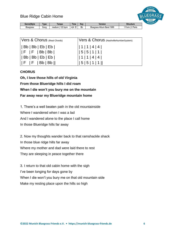# <span id="page-5-0"></span>Blue Ridge Cabin Home



| Genre Style      | l vpe | empo              | <b>Time</b>   | $\cdot$<br>Kev | Version                                     | <b>Structure</b> |
|------------------|-------|-------------------|---------------|----------------|---------------------------------------------|------------------|
| <b>Bluegrass</b> | Sona  | 122 bpm<br>medium | 4 4<br>́<br>u | Bb             | <b>Bluegrass</b><br>1989<br>∶ Album<br>Band | ຳ Parts<br>Form  |

| Vers & Chorus (Real Chords) | Vers & Chorus (NashvilleNumberSystem) |
|-----------------------------|---------------------------------------|
| Bb Bb Eb Eb                 | $\left   11114   4 \right $           |
| F F Bb Bb                   | 15 5 1 1                              |
| Bb Bb Eb Eb                 | 1114 4                                |
| F  F  Bb  Bb                | 5 5 1 1                               |

## **CHORUS**

**Oh, I love those hills of old Virginia From those Blueridge hills I did roam When I die won't you bury me on the mountain Far away near my Blueridge mountain home**

1. There's a well beaten path in the old mountainside Where I wandered when I was a lad And I wandered alone to the place I call home In those Blueridge hills far away

2. Now my thoughts wander back to that ramshackle shack In those blue ridge hills far away Where my mother and dad were laid there to rest They are sleeping in peace together there

3. I return to that old cabin home with the sigh I've been longing for days gone by When I die won't you bury me on that old mountain side Make my resting place upon the hills so high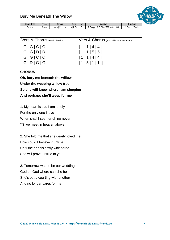## <span id="page-6-0"></span>Bury Me Beneath The Willow



| <b>Genre Style</b> | Type | empo                     | <b>Time</b> | Kev | Version                                  | <b>Structure</b> |
|--------------------|------|--------------------------|-------------|-----|------------------------------------------|------------------|
| Oldtime            | Sona | $\sim$<br>92 bpm<br>slow | 414<br>́    |     | 1909)<br>1980<br>(orig<br>Rice<br>Scaggs | 2 Parts<br>Form  |

| $ Vers & Chorus$ (Real Chords) | Vers & Chorus (NashvilleNumberSystem) |
|--------------------------------|---------------------------------------|
| G   G   C   C                  | 1   1   4   4                         |
| G G D D                        | 1 1 5 5                               |
| G G C C                        | 1114 4                                |
| G D G G                        | 1  5  1  1                            |

## **CHORUS**

**Oh, bury me beneath the willow Under the weeping willow tree So she will know where I am sleeping And perhaps she'll weep for me**

1. My heart is sad I am lonely For the only one I love When shall I see her oh no never 'Til we meet in heaven above

2. She told me that she dearly loved me How could I believe it untrue Until the angels softly whispered She will prove untrue to you

3. Tomorrow was to be our wedding God oh God where can she be She's out a courting with another And no longer cares for me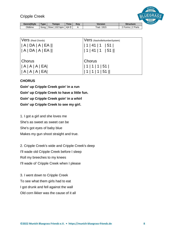# <span id="page-7-0"></span>Cripple Creek



| <b>Genre Style</b> | $T$ <sub>Vpe</sub> | Tempo               | Time  | Kev | Version       | <b>Structure</b>         |
|--------------------|--------------------|---------------------|-------|-----|---------------|--------------------------|
| Oldtime            | Song               | Slow I<br>$102$ bpm | 414 C |     | 1915<br>Trad. | ່ ? Parts<br>? Forms I . |

| Vers (Real Chords) | Vers (NashvilleNumberSystem) |
|--------------------|------------------------------|
| A DA A EA          | 1  41  1  51                 |
| A DA A EA          | 1  41  1  51                 |
|                    |                              |
| <b>Chorus</b>      | <b>Chorus</b>                |
| A A A EA           | 1111151                      |
| A A A EA           | 1 1 1 51                     |

## **CHORUS**

**Goin' up Cripple Creek goin' in a run Goin' up Cripple Creek to have a little fun. Goin' up Cripple Creek goin' in a whirl Goin' up Cripple Creek to see my girl.**

1. I got a girl and she loves me She's as sweet as sweet can be She's got eyes of baby blue Makes my gun shoot straight and true.

2. Cripple Creek's wide and Cripple Creek's deep I'll wade old Cripple Creek before I sleep Roll my breeches to my knees I'll wade ol' Cripple Creek when I please

3. I went down to Cripple Creek To see what them girls had to eat I got drunk and fell against the wall Old corn likker was the cause of it all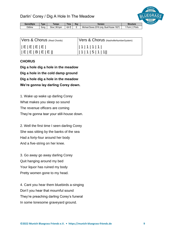<span id="page-8-0"></span>Darlin' Corey / Dig A Hole In The Meadow

|                | MUNICH         |
|----------------|----------------|
|                | <b>UEGRASS</b> |
|                | <b>FRIENDS</b> |
| re             |                |
| D <sub>0</sub> |                |

| Genre Style | 'ype | Tempo          | -<br>lime | <b>Kev</b> | Version                                                                | Structure                    |
|-------------|------|----------------|-----------|------------|------------------------------------------------------------------------|------------------------------|
| Oldtime     | Sona | 96 bpm<br>Slow | 414 C     | -          | 1927<br>Daves 2016 (orig.<br><b>Buell Kazee</b><br>$\cdots$<br>Micheal | ີ <sup>o</sup> Parts<br>Form |

| Vers & Chorus (Real Chords) | Vers & Chorus (NashvilleNumberSystem) |
|-----------------------------|---------------------------------------|
| E E E E                     | 111111  1                             |
| E E B E E                   | 11115 111                             |

## **CHORUS**

**Dig a hole dig a hole in the meadow Dig a hole in the cold damp ground Dig a hole dig a hole in the meadow We're gonna lay darling Corey down.**

1. Wake up wake up darling Corey What makes you sleep so sound The revenue officers are coming They're gonna tear your still-house down.

2. Well the first time I seen darling Corey She was sitting by the banks of the sea Had a forty-four around her body And a five-string on her knee.

3. Go away go away darling Corey Quit hanging around my bed Your liquor has ruined my body Pretty women gone to my head.

4. Cant you hear them bluebirds a-singing Don't you hear that mournful sound They're preaching darling Corey's funeral In some lonesome graveyard ground.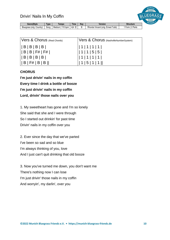# <span id="page-9-0"></span>Drivin' Nails In My Coffin



| <b>Genre Style</b>          | ype  | Tempo                        | <b>Time</b>   | Kev | Version                                    | <b>Structure</b>             |
|-----------------------------|------|------------------------------|---------------|-----|--------------------------------------------|------------------------------|
| Bluegrass (orig.<br>Country | Sona | $\sim$<br>' 10 bpm<br>Medium | 4 4<br>́<br>◡ |     | Rhonda<br>: Tubb'<br>Vincent (orig. Ernest | ີ <sup>o</sup> Parts<br>⊦orm |

| Vers & Chorus (Real Chords) | Vers & Chorus (NashvilleNumberSystem) |
|-----------------------------|---------------------------------------|
| B B B B                     | 1 1 1 1 1                             |
| B   B   F#   F#             | 11155                                 |
| B B B B                     | 1 1 1 1 1                             |
| $  B $ F# $ B B  $          | 1 5 1 1                               |

## **CHORUS**

**I'm just drivin' nails in my coffin Every time I drink a bottle of booze I'm just drivin' nails in my coffin Lord, drivin' those nails over you**

1. My sweetheart has gone and I'm so lonely She said that she and I were through So I started out drinkin' for past time Drivin' nails in my coffin over you

2. Ever since the day that we've parted I've been so sad and so blue I'm always thinking of you, love And I just can't quit drinking that old booze

3. Now you've turned me down, you don't want me There's nothing now I can lose I'm just drivin' those nails in my coffin And worryin', my darlin', over you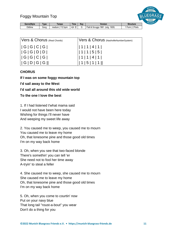# <span id="page-10-0"></span>Foggy Mountain Top



| <b>Genre Style</b> | 'ype | Tempo                                           | l ime         | Kev | Version                                                      | <b>Structure</b> |
|--------------------|------|-------------------------------------------------|---------------|-----|--------------------------------------------------------------|------------------|
| Oldtime            | Sona | $\sim$<br>$\overline{ }$<br>bpm<br>medium<br>14 | 4 4<br>́<br>u | -   | 1929)<br>196 <sup>1</sup><br>Flatt & So<br>foria.<br>Scruggs | ີ Parts<br>∽orm  |

| Vers & Chorus (Real Chords) | Vers & Chorus (NashvilleNumberSystem) |
|-----------------------------|---------------------------------------|
| G G C G                     | 1    1    4    1                      |
| G G D D                     | 11155                                 |
| G G C G                     | 111411                                |
| G D G G                     | 1151111                               |

## **CHORUS**

**If I was on some foggy mountain top**

**I'd sail away to the West**

**I'd sail all around this old wide world**

**To the one I love the best**

1. If I had listened t'what mama said I would not have been here today Wishing for things I'll never have And weeping my sweet life away

2. You caused me to weep, you caused me to mourn You caused me to leave my home Oh, that lonesome pine and those good old times I'm on my way back home

3. Oh, when you see that two-faced blonde There's somethin' you can tell 'er She need not to fool her time away A-tryin' to steal a feller

4. She caused me to weep, she caused me to mourn She caused me to leave my home Oh, that lonesome pine and those good old times I'm on my way back home

5. Oh, when you come to courtin' now Put on your navy blue That long tail "roust-a-bout" you wear Don't do a thing for you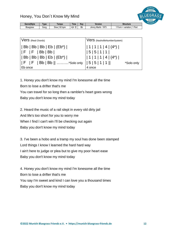<span id="page-11-0"></span>Honey, You Don´t Know My Mind



| Genre Style      | l vpe | Tempo               | <b>Time</b>   | $\sim$<br>Kev | . .<br>Version                      | <b>Structure</b>          |
|------------------|-------|---------------------|---------------|---------------|-------------------------------------|---------------------------|
| <b>Bluegrass</b> | Sona  | .92'<br>Slow<br>bpm | 414<br>́<br>u | Bb            | 1973<br>Martir<br>Jimm <sup>,</sup> | Part<br>variation<br>Forn |

| Vers (Real Chords)                     | <b>Vers</b> (NashvilleNumberSystem)                          |
|----------------------------------------|--------------------------------------------------------------|
| $  Bb Bb Bb Eb Eb $ (Eb <sup>*</sup> ) | $\left  \left  1 \right  1 \right  1 \left  4 \right  (4^*)$ |
| F F Bb Bb                              | 5 5 1 1                                                      |
| $  Bb Bb Bb Eb (Eb^*) $                | $\left  1 \right  1 \left  1 \right  4 \left  (4^*) \right $ |
| $  F  F  Bb  Bb  $ *Solo only          | 5 5 1 1 <br>*Solo only                                       |
| Eb once                                | 4 once                                                       |

1. Honey you don't know my mind I'm lonesome all the time

Born to lose a drifter that's me

You can travel for so long then a rambler's heart goes wrong

Baby you don't know my mind today

2. Heard the music of a rail slept in every old dirty jail And life's too short for you to worry me When I find I can't win I'll be checking out again Baby you don't know my mind today

3. I've been a hobo and a tramp my soul has done been stamped Lord things I know I learned the hard hard way I ain't here to judge or plea but to give my poor heart ease Baby you don't know my mind today

4. Honey you don't know my mind I'm lonesome all the time Born to lose a drifter that's me You say I'm sweet and kind I can love you a thousand times Baby you don't know my mind today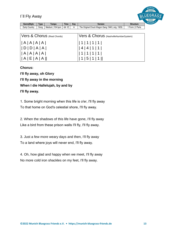## <span id="page-12-0"></span>I´ll Fly Away

| Genre Style         | Tvpe | Tempo                   | <b>Time</b>            | <b>Kev</b> | <b>Version</b>                                                     | <b>Structure</b> | <b>PIEMP</b> |
|---------------------|------|-------------------------|------------------------|------------|--------------------------------------------------------------------|------------------|--------------|
| ∟arlv<br>$C$ ountrv | Sonq | ' 104،<br>Medium<br>bpm | 4 4<br>$\uparrow$<br>◡ |            | 1929)<br>1948<br>Chuck Wagon<br>⊺he<br>' oria.<br>Gang<br>Original | ີ Parts<br>⊦orm  |              |

| $ Vers & Chorus$ (Real Chords) | Vers & Chorus (NashvilleNumberSystem) |
|--------------------------------|---------------------------------------|
| A A A A                        | 1 1 1 1 1                             |
| D D A A                        | 4 4 1 1                               |
| A A A A                        | 1 1 1 1                               |
| A E A A                        | 1 5  1  1                             |

**Chorus: I'll fly away, oh Glory I'll fly away in the morning When I die Hallelujah, by and by I′ll fly away.**

1. Some bright morning when this life is o′er, I'll fly away To that home on God′s celestial shore, I'll fly away.

2. When the shadows of this life have gone, I'll fly away Like a bird from these prison walls I'll fly, I'll fly away.

3. Just a few more weary days and then, I'll fly away To a land where joys will never end, I′ll fly away.

4. Oh, how glad and happy when we meet, I'll fly away No more cold iron shackles on my feet, I'll fly away.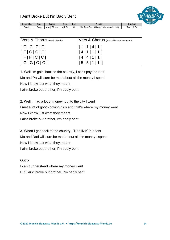<span id="page-13-0"></span>I Ain't Broke But I'm Badly Bent



| GenrelStvle    | Type | empo                            | <b>Time</b>            | <b>Kev</b> | Version                                                      | <b>Structure</b> |
|----------------|------|---------------------------------|------------------------|------------|--------------------------------------------------------------|------------------|
| <b>Country</b> | Sona | 100 <sub>l</sub><br>bpm<br>slow | 414<br>$\sqrt{2}$<br>ື |            | 1953<br>Illrd<br>Out 1998 (oria.<br>Lattie Moore in<br>' vme | Part<br>Form     |

| Vers & Chorus (Real Chords) | Vers & Chorus (NashvilleNumberSystem) |
|-----------------------------|---------------------------------------|
| C C F C                     | 11114 1                               |
| F C C C                     | 4 1 1 1                               |
| F F C C                     | 4 4 1 1                               |
| G G C C                     | 5 5 1 1                               |

1. Well I'm goin' back to the country, I can't pay the rent Ma and Pa will sure be mad about all the money I spent Now I know just what they meant I ain't broke but brother, I'm badly bent

2. Well, I had a lot of money, but to the city I went I met a lot of good-looking girls and that's where my money went Now I know just what they meant I ain't broke but brother, I'm badly bent

3. When I get back to the country, I'll be livin' in a tent Ma and Dad will sure be mad about all the money I spent Now I know just what they meant I ain't broke but brother, I'm badly bent

**Outro** 

I can´t understand where my money went But I ain't broke but brother, I'm badly bent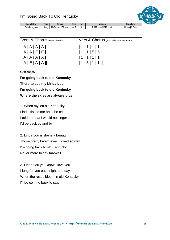# <span id="page-14-0"></span>I'm Going Back To Old Kentucky



| GenrelStvle        | ype  | Tempo                                         | -<br>l ime    | $\overline{\phantom{a}}$<br>Kev | Version                           | Structure                          |
|--------------------|------|-----------------------------------------------|---------------|---------------------------------|-----------------------------------|------------------------------------|
| Bluegrass<br>⊏arlv | Sona | $1 - 2$<br>bpm<br>Uplempo<br>$\cdot$ h<br>ےں⊧ | 414<br>́<br>u |                                 | '1949 1965)<br><b>Bill Monroe</b> | ີ <sup>o</sup> Parts<br>orm<br>-uı |

| Vers & Chorus (Real Chords)                       | Vers & Chorus (NashvilleNumberSystem) |
|---------------------------------------------------|---------------------------------------|
| $\vert$   A $\vert$ A $\vert$ A $\vert$ A $\vert$ | 111111                                |
| A A E E                                           | 11155                                 |
| A A A A                                           | 111111  1                             |
| A E A A                                           | 1   5   1   1                         |

## **CHORUS**

**I'm going back to old Kentucky There to see my Linda Lou I'm going back to old Kentucky Where the skies are always blue**

1. When my left old Kentucky Linda kissed me and she cried I told her that I would not linger I'd be back by and by

2. Linda Lou is she is a beauty Those pretty brown eyes I loved so well I'm going back to old Kentucky Never more to say farewell

3. Linda Lou you know I love you I long for you each night and day When the roses bloom in old Kentucky I'll be coming back to stay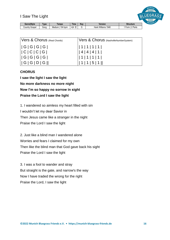# <span id="page-15-0"></span>I Saw The Light



| Genre Style    | <b>ype</b> | Tempo                | <b>Time</b>                       | Kev | Version                  | Structure       |
|----------------|------------|----------------------|-----------------------------------|-----|--------------------------|-----------------|
| Country Gospel | Sona       | 104<br>bpm<br>Medium | 4 4<br>$\uparrow$<br>$\mathbf{u}$ |     | Williams<br>1948<br>Hank | ີ Parts<br>rorm |

| Vers & Chorus (Real Chords) | Vers & Chorus (NashvilleNumberSystem) |
|-----------------------------|---------------------------------------|
| G G G G                     | 1 1 1 1 1                             |
| C C C G                     | 4  4  4  1                            |
| G G G G                     | 1 1 1 1                               |
| G G D G                     | 1    1    5    1                      |

## **CHORUS**

**I saw the light I saw the light No more darkness no more night Now I'm so happy no sorrow in sight Praise the Lord I saw the light**

1. I wandered so aimless my heart filled with sin

I wouldn't let my dear Savior in

Then Jesus came like a stranger in the night

Praise the Lord I saw the light

2. Just like a blind man I wandered alone Worries and fears I claimed for my own Then like the blind man that God gave back his sight Praise the Lord I saw the light

3. I was a fool to wander and stray But straight is the gate, and narrow's the way Now I have traded the wrong for the right Praise the Lord, I saw the light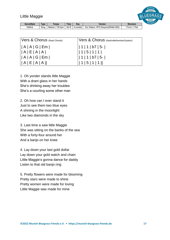# <span id="page-16-0"></span>Little Maggie

| ÷   | MUNICH<br><b>UEGRASS</b><br>FRIENDS EN |
|-----|----------------------------------------|
| art |                                        |

| <b>Genre Style</b> | l ype | Tempo                  | Гіmе  | Kev       | Version                                       | <b>Structure</b> |
|--------------------|-------|------------------------|-------|-----------|-----------------------------------------------|------------------|
| Oldtime            | Sona  | 130<br>bom<br>Medium I | 414 C | A (modal) | 1975 (GravsonlWhitter1929)<br>: Watson<br>Doc | Pan<br>Form      |

| Vers & Chorus (Real Chords) | Vers & Chorus (NashvilleNumberSystem) |
|-----------------------------|---------------------------------------|
| A A G Em                    | $  111 $ b7   5-                      |
| A E A A                     | 115111                                |
| A A G Em                    | $  11 1 b7 5- $                       |
| A E A A                     | 1 5 1 1                               |

1. Oh yonder stands little Maggie With a dram glass in her hands She's drinking away her troubles She's a courting some other man

2. Oh how can I ever stand it Just to see them two blue eyes A shining in the moonlight Like two diamonds in the sky

3. Last time a saw little Maggie She was sitting on the banks of the sea With a forty-four around her And a banjo on her knee

4. Lay down your last gold dollar Lay down your gold watch and chain Little Maggie's gonna dance for daddy Listen to that old banjo ring

5. Pretty flowers were made for blooming Pretty stars were made to shine Pretty women were made for loving Little Maggie was made for mine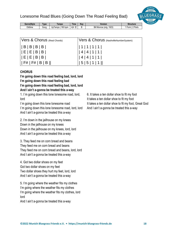# <span id="page-17-0"></span>Lonesome Road Blues (Going Down The Road Feeling Bad)



| GenrelStvle | 'vpe | Fempo                             | --<br>ime              | . .<br><b>Key</b> | Version                     | <b>Structure</b>             |
|-------------|------|-----------------------------------|------------------------|-------------------|-----------------------------|------------------------------|
| Oldtime     | Sona | $160^{\degree}$<br>bpm<br>Uplempo | 4 4<br>$\sqrt{ }$<br>u |                   | 1923)<br>Bill Monroe (oria. | ີ <sup>o</sup> Parts<br>∙orm |

| Vers & Chorus (Real Chords)     | Vers & Chorus (NashvilleNumberSystem) |
|---------------------------------|---------------------------------------|
| B B B B                         | 1   1   1   1                         |
| E E B B                         | 4 4 1 1                               |
| E E B B                         | 4 4 1 1                               |
| $  $ F# $ $ F# $ $ B $ $ B $  $ | 5 5 1 1                               |

## **CHORUS**

**I'm going down this road feeling bad, lord, lord I'm going down this road feeling bad I'm going down this road feeling bad, lord, lord And I ain't a-gonna be treated this a-way**

1. I´m going down this lone lonesome road, lord, lord

I´m going down this lone lonesome road I´m going down this lone lonesome road, lord, lord And I ain't a-gonna be treated this a-way

2. I'm down in the jailhouse on my knees Down in the jailhouse on my knees Down in the jailhouse on my knees, lord, lord And I ain't a-gonna be treated this a-way

3. They feed me on corn bread and beans They feed me on corn bread and beans They feed me on corn bread and beans, lord, lord And I ain't a-gonna be treated this a-way

4. Got two dollar shoes on my feet Got two dollar shoes on my feet Two dollar shoes they hurt my feet, lord, lord And I ain't a-gonna be treated this a-way

5. I'm going where the weather fits my clothes I'm going where the weather fits my clothes I'm going where the weather fits my clothes, lord lord

And I ain't a-gonna be treated this a-way

6. It takes a ten dollar shoe to fit my foot It takes a ten dollar shoe to fit my foot It takes a ten dollar shoe to fit my foot, Great God And I ain't a-gonna be treated this a-way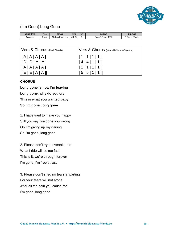

# (I'm Gone) Long Gone

| GenrelStvle      | l vpe<br>,, | <b>Tempo</b>           | <b>Time</b> | Kev | √ersion                       | <b>Structure</b> |
|------------------|-------------|------------------------|-------------|-----|-------------------------------|------------------|
| <b>Bluegrass</b> | Sona        | . 144<br>Medium<br>bpm | 4 4<br>́    |     | 1952<br>-<br>Smilev<br>Reno & | ີ Parts<br>∙orm  |

| Vers & Chorus (Real Chords) | Vers & Chorus (NashvilleNumberSystem) |
|-----------------------------|---------------------------------------|
| A A A A                     | 1 1 1 1 1                             |
| D D A A                     | 4   4   1   1                         |
| A A A A                     | 1 1 1 1                               |
| E   E   A   A               | 5 5 1 1                               |

## **CHORUS**

**Long gone is how I'm leaving Long gone, why do you cry This is what you wanted baby So I'm gone, long gone**

1. I have tried to make you happy Still you say I've done you wrong Oh I'm giving up my darling So I'm gone, long gone

2. Please don't try to overtake me What I ride will be too fast This is it, we're through forever I'm gone, I'm free at last

3. Please don't shed no tears at parting For your tears will not atone After all the pain you cause me I'm gone, long gone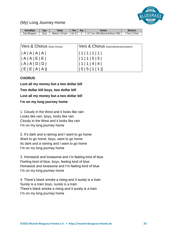

# <span id="page-19-0"></span>(My) Long Journey Home

| Genre Style               | <b>VDe</b> | Tempo             | <b>Time</b>        | Kev | <b>Version</b>                          | <b>Structure</b>             |
|---------------------------|------------|-------------------|--------------------|-----|-----------------------------------------|------------------------------|
| <b>Bluegrass</b><br>Earlv | Song       | 144 bpm<br>Medium | 4 4<br>$\sim$<br>◡ |     | 1936<br>1994<br>Monroe Brothers<br>Crow | ີ <sup>o</sup> Parts<br>Form |

| Vers & Chorus (Real Chords) | Vers & Chorus (NashvilleNumberSystem) |
|-----------------------------|---------------------------------------|
| A A A A                     | 1 1 1 1                               |
| A A E E                     | 11155                                 |
| A A D D                     | 1111414                               |
| E E A A                     | 5 5 1 1                               |

## **CHORUS**

**Lost all my money but a two dollar bill Two dollar bill boys, two dollar bill Lost all my money but a two dollar bill I'm on my long journey home**

1. Cloudy in the West and it looks like rain Looks like rain, boys, looks like rain Cloudy in the West and it looks like rain I'm on my long journey home

2. It's dark and a raining and I want to go home Want to go home, boys, want to go home Its dark and a raining and I want to go home I'm on my long journey home

3. Homesick and lonesome and I'm feeling kind of blue Feeling kind of blue, boys, feeling kind of blue Homesick and lonesome and I'm feeling kind of blue I'm on my long journey home

4. There's black smoke a rising and it surely is a train Surely is a train boys, surely is a train There's black smoke a rising and it surely is a train I'm on my long journey home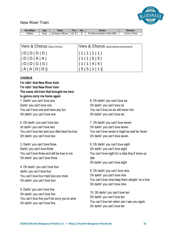

## <span id="page-20-0"></span>New River Train

| Genre Style | <b>VDe</b> | Tempo                      | <b>Time</b>            | Kev | Version                                         | Structure       |
|-------------|------------|----------------------------|------------------------|-----|-------------------------------------------------|-----------------|
| Oldtime     | Song       | 168 b<br>3 bpm<br>Jplempo' | 4 4<br>$\sqrt{2}$<br>w | ◡   | (1895)<br>The Monroe<br>1936<br><b>Brothers</b> | ຳ Parts<br>∙orm |

| Vers & Chorus (Real Chords) | Vers & Chorus (NashvilleNumberSystem) |
|-----------------------------|---------------------------------------|
| D D D D                     | 111111  1                             |
| D D A A                     | 11155                                 |
| D D G G                     | 1114 4                                |
| A A D D                     | 5 5 1 1                               |

#### **CHORUS**

**I'm ridin' that New River train I'm ridin' that New River train The same old train that brought me here Is gonna carry me home again** 1. Darlin' you can't love one Darlin' you can't love one You can't love one and have any fun Oh darlin' you can't love one

2. Oh darlin' you can't love two oh darlin' you can't love two You can't love two and your little heart be true Oh darlin' you can't love two

3. Darlin' you can't love three Darlin' you can't love three You can't love three and still be true to me Oh darlin' you can't love three

4. Oh darlin' you can't love four darlin' you can't love four You can't love four mad love any more Oh darlin' you can't love four

<span id="page-20-1"></span>5. Darlin' you can't love five Oh darlin' you can't love five You can't love five you'll be sorry you're alive Oh darlin' you can't love five

6. Oh darlin' you can't love six Oh darlin' you can't love six You can't love six six will never mix Oh darlin' you can't love six

7. Oh darlin' you can't love seven Oh darlin' you can't love seven You can't love seven it might as well be 'leven Oh darlin' you can't love seven

8. Oh darlin' you can't love eight Oh darlin' you can't love eight You can't love eight for a date they'll show up late Oh darlin' you can't love eight

9. Oh darlin' you can't love nine Oh darlin' you can't love nine You can't love nine keep them danglin' on a line Oh darlin' you can't love nine

10. Oh darlin' you can't love ten Oh darlin' you can't love ten You can't love ten when can I see you again Oh darlin' you can't love ten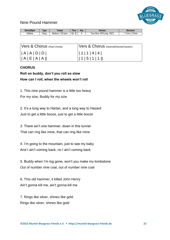

# Nine Pound Hammer

| enrelStvle | l vpe | Tempo                            | <b>Time</b>                   | ı<br><b>Key</b> | Version                                                                    | tructure         |
|------------|-------|----------------------------------|-------------------------------|-----------------|----------------------------------------------------------------------------|------------------|
| Oldtime    | Sona  | 1001<br><br>bpm<br>Medium<br>ے ا | 414<br>$\sim$<br>$\mathbf{u}$ |                 | 1927<br>$\overline{\phantom{a}}$<br>1979<br>(oria<br>. on v<br><b>Rice</b> | ີ Parts<br>.-orm |

| $ Vers & Chorus$ (Real Chords) | Vers & Chorus (NashvilleNumberSystem) |
|--------------------------------|---------------------------------------|
| A A D D                        | 1114 4                                |
| A E A A                        | 1 5 1 1                               |

## **CHORUS**

# **Roll on buddy, don't you roll so slow How can I roll, when the wheels won't roll**

1. This nine pound hammer is a little too heavy For my size, Buddy for my size

2. It's a long way to Harlan, and a long way to Hazard Just to get a little booze, just to get a little booze

3. There ain't one hammer, down in this tunnel That can ring like mine, that can ring like mine

4. I'm going to the mountain, just to see my baby And I ain't coming back, no I ain't coming back

5. Buddy when I'm log gone, won't you make my tombstone Out of number nine coal, out of number nine coal

6. This old hammer, it killed John Henry Ain't gonna kill me, ain't gonna kill me

7. Rings like silver, shines like gold Rings like silver, shines like gold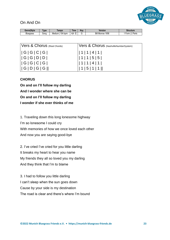

# <span id="page-22-0"></span>On And On

| <b>Genre Style</b> | vpe  | Tempo                | <b>Time</b>                         | $\cdot$<br>Kev | <b>Version</b>             | ructure                |
|--------------------|------|----------------------|-------------------------------------|----------------|----------------------------|------------------------|
| <b>Bluegrass</b>   | Sona | 104<br>bpm<br>Medium | 414<br>$\sqrt{2}$<br>$\overline{ }$ |                | 1956<br><b>Bill Monroe</b> | ` Parts<br><b>Form</b> |

| $ Vers & Chorus$ (Real Chords)               | Vers & Chorus (NashvilleNumberSystem) |
|----------------------------------------------|---------------------------------------|
| G   G   C   G                                | 1111411                               |
| $\vert\vert G \vert G \vert D \vert D \vert$ | 1 1 5 5                               |
| G G C G                                      | 1111411                               |
| G   D   G   G                                | 1 5 1 1                               |

## **CHORUS**

**On and on I'll follow my darling And I wonder where she can be On and on I'll follow my darling I wonder if she ever thinks of me**

1. Traveling down this long lonesome highway I'm so lonesome I could cry With memories of how we once loved each other And now you are saying good-bye

2. I've cried I've cried for you little darling It breaks my heart to hear you name My friends they all so loved you my darling And they think that I'm to blame

3. I had to follow you little darling I can't sleep when the sun goes down Cause by your side is my destination The road is clear and there's where I'm bound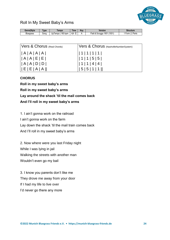

# <span id="page-23-0"></span>Roll In My Sweet Baby's Arms

| <b>Genre Style</b> | Type | Fempo              | <b>Time</b>              | <b>Kev</b> | Version                               | Structure                    |
|--------------------|------|--------------------|--------------------------|------------|---------------------------------------|------------------------------|
| <b>Bluegrass</b>   | Song | 160 bpm<br>Uplempo | 4 4<br>́<br>$\mathbf{u}$ |            | (1931)<br>.1951<br>Flatt &<br>Scruggs | ີ <sup>o</sup> Parts<br>Form |

| Vers & Chorus (Real Chords) | Vers & Chorus (NashvilleNumberSystem) |
|-----------------------------|---------------------------------------|
| A A A A                     | $\left  1111111 \right $              |
| A A E E                     | 1  1  5  5                            |
| A A D D                     | 11114 4                               |
| E E A A                     | 5 5 1 1                               |

## **CHORUS**

**Roll in my sweet baby's arms Roll in my sweet baby's arms Lay around the shack 'til the mail comes back And I'll roll in my sweet baby's arms**

1. I ain't gonna work on the railroad I ain't gonna work on the farm Lay down the shack 'til the mail train comes back And I'll roll in my sweet baby's arms

2. Now where were you last Friday night While I was lying in jail Walking the streets with another man Wouldn't even go my bail

3. I know you parents don't like me They drove me away from your door If I had my life to live over I'd never go there any more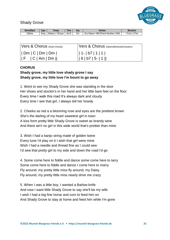

# <span id="page-24-0"></span>Shady Grove

| <b>Genre Style</b> | Tvpe | Tempo                | <b>Time</b> | Kev | Version                                                      | <b>Structure</b> |
|--------------------|------|----------------------|-------------|-----|--------------------------------------------------------------|------------------|
| Oldtime            | Song | 126<br>bpm<br>Medium | 414 C       | Dm  | (936)<br>999<br><br>(Prairie<br>Watson<br>: Ramblers<br>Joc' | ີ Part<br>Form   |

| $ Vers & Chorus$ (Real Chords) | Vers & Chorus (NashvilleNumberSystem) |
|--------------------------------|---------------------------------------|
| Dm   C   Dm   Dm               | $  1 -  b7   1   1  $                 |
| F C Am Dm                      | $  6  b7  5- 1  $                     |

## **CHORUS**

## **Shady grove, my little love shady grove I say Shady grove, my little love I'm bount to go away**

1. Went to see my Shady Grove she was standing in the door Her shoes and stockin's in her hand and her little bare feet on the floor Every time I walk this road It's always dark and cloudy Every time I see that girl, I always tell her howdy

2. Cheeks as red a a blooming rose and eyes are the prettiest brown She's the darling of my heart sweetest girl in town A kiss form pretty little Shady Grove is sweet as brandy wine And there ain't no girl in this wide world that's prettier than mine

3. Wish I had a banjo string made of golden twine Every tune I'd play on it I wish that girl were mine Wish I had a needle and thread fine as I could sew I'd sew that pretty girl to my side and down the road I'd go

4. Some come here to fiddle and dance some come here to tarry Some come here to fiddle and dance I come here to marry Fly around, my pretty little miss fly around, my Daisy Fly around, my pretty little miss nearly drive me crazy

5. When I was a little boy, I wanted a Barlow knife And now I want little Shady Grove to say she'll be my wife I wish I had a big fine horse and corn to feed him on And Shady Grove to stay at home and feed him while I'm gone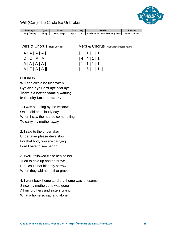

# <span id="page-25-0"></span>Will (Can) The Circle Be Unbroken

| <b>Genre Style</b>   | Type | Tempo                   | <b>Time</b> | Kev | <b>Version</b>                             | <b>Structure</b>               |
|----------------------|------|-------------------------|-------------|-----|--------------------------------------------|--------------------------------|
| <b>Early Country</b> | Song | <b>Slow</b><br>  98 bpm | 414<br>́    |     | 1907)<br>NittyGrittyDirth Band 1972 (orig. | <sup>1</sup> 2 Parts<br>Form . |

| Vers & Chorus (Real Chords) | Vers & Chorus (NashvilleNumberSystem) |
|-----------------------------|---------------------------------------|
| A A A A                     | 1    1    1    1                      |
| D D A A                     | 4 4 1 1                               |
| A A A A                     | 1 1 1 1  1                            |
| A E A A                     | 1 5 1 1                               |

#### **CHORUS**

**Will the circle be unbroken Bye and bye Lord bye and bye There's a better home a waiting In the sky Lord in the sky**

1. I was standing by the window On a cold and cloudy day When I saw the hearse come rolling To carry my mother away

2. I said to the undertaker Undertaker please drive slow For that body you are carrying Lord I hate to see her go

3. Well I followed close behind her Tried to hold up and be brave But I could not hide my sorrow When they laid her in that grave

4. I went back home Lord that home was lonesome Since my mother, she was gone All my brothers and sisters crying What a home so sad and alone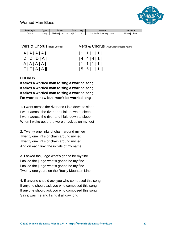

# <span id="page-26-0"></span>Worried Man Blues

| GenrelStvle | 'vpe | Fempo                  | <b>Time</b>            | <b>Kev</b> | <b>Version</b>                   | <b>Structure</b> |
|-------------|------|------------------------|------------------------|------------|----------------------------------|------------------|
| Oldtime     | Song | .120'<br>bpm<br>Medium | 414<br>$\uparrow$<br>u |            | 1930)<br>Stanley Brothers (orig. | ີ Parts<br>∽orm  |

| $ Vers & Chorus$ (Real Chords) | Vers & Chorus (NashvilleNumberSystem) |
|--------------------------------|---------------------------------------|
| A A A A                        | 1 1 1 1 1                             |
| D D D A                        | 4  4  4  1                            |
| A A A A                        | 1 1 1 1                               |
| E E A A                        | 5 5 1 1                               |

## **CHORUS**

**It takes a worried man to sing a worried song It takes a worried man to sing a worried song It takes a worried man to sing a worried song I'm worried now but I won't be worried long**

1. I went across the river and I laid down to sleep I went across the river and I laid down to sleep I went across the river and I laid down to sleep When I woke up, there were shackles on my feet

2. Twenty one links of chain around my leg Twenty one links of chain around my leg Twenty one links of chain around my leg And on each link, the initials of my name

3. I asked the judge what's gonna be my fine I asked the judge what's gonna be my fine I asked the judge what's gonna be my fine Twenty one years on the Rocky Mountain Line

4. If anyone should ask you who composed this song If anyone should ask you who composed this song If anyone should ask you who composed this song Say it was me and I sing it all day long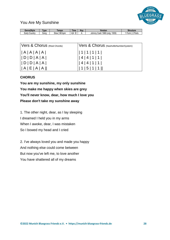

# <span id="page-27-0"></span>You Are My Sunshine

| <b>GenrelStvle</b> | <b>VDE</b> | . empo         | $-1$<br><b>l</b> ime   | $K_{\text{dV}}$<br>ve. | Version                                   | <b>Structure</b> |
|--------------------|------------|----------------|------------------------|------------------------|-------------------------------------------|------------------|
| Early<br>Country   | Sona       | 98 bpm<br>Slow | $\sqrt{2}$<br>414<br>u |                        | 939<br>1969<br>انCas<br>Johnny i<br>(oria | ີ Parts<br>⊦orn  |

| Vers & Chorus (Real Chords) | Vers & Chorus (NashvilleNumberSystem) |
|-----------------------------|---------------------------------------|
| A A A A                     | 1 1 1 1 1                             |
| D D A A                     | 4  4  1  1                            |
| D D A A                     | 4 4 1 1                               |
| A E A A                     | 1151111                               |

## **CHORUS**

**You are my sunshine, my only sunshine You make me happy when skies are grey You'll never know, dear, how much I love you Please don't take my sunshine away**

1. The other night, dear, as I lay sleeping I dreamed I held you in my arms When I awoke, dear, I was mistaken So I bowed my head and I cried

2. I've always loved you and made you happy And nothing else could come between But now you've left me, to love another You have shattered all of my dreams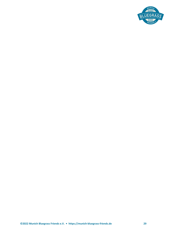